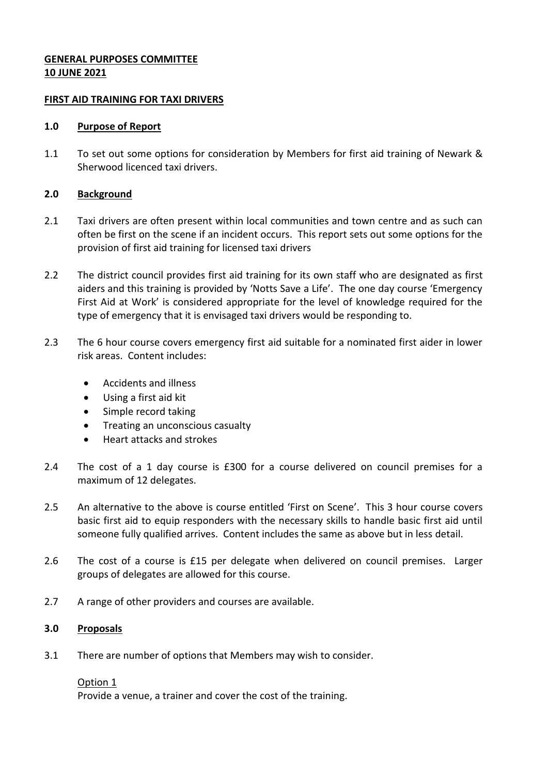## **GENERAL PURPOSES COMMITTEE 10 JUNE 2021**

## **FIRST AID TRAINING FOR TAXI DRIVERS**

### **1.0 Purpose of Report**

1.1 To set out some options for consideration by Members for first aid training of Newark & Sherwood licenced taxi drivers.

# **2.0 Background**

- 2.1 Taxi drivers are often present within local communities and town centre and as such can often be first on the scene if an incident occurs. This report sets out some options for the provision of first aid training for licensed taxi drivers
- 2.2 The district council provides first aid training for its own staff who are designated as first aiders and this training is provided by 'Notts Save a Life'. The one day course 'Emergency First Aid at Work' is considered appropriate for the level of knowledge required for the type of emergency that it is envisaged taxi drivers would be responding to.
- 2.3 The 6 hour course covers emergency first aid suitable for a nominated first aider in lower risk areas. Content includes:
	- Accidents and illness
	- Using a first aid kit
	- Simple record taking
	- **•** Treating an unconscious casualty
	- Heart attacks and strokes
- 2.4 The cost of a 1 day course is £300 for a course delivered on council premises for a maximum of 12 delegates.
- 2.5 An alternative to the above is course entitled 'First on Scene'. This 3 hour course covers basic first aid to equip responders with the necessary skills to handle basic first aid until someone fully qualified arrives. Content includes the same as above but in less detail.
- 2.6 The cost of a course is £15 per delegate when delivered on council premises. Larger groups of delegates are allowed for this course.
- 2.7 A range of other providers and courses are available.

# **3.0 Proposals**

3.1 There are number of options that Members may wish to consider.

#### Option 1

Provide a venue, a trainer and cover the cost of the training.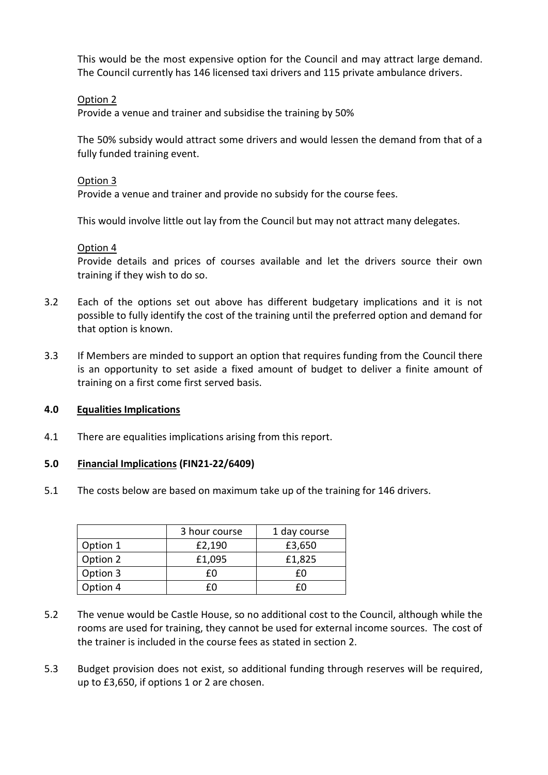This would be the most expensive option for the Council and may attract large demand. The Council currently has 146 licensed taxi drivers and 115 private ambulance drivers.

## Option 2

Provide a venue and trainer and subsidise the training by 50%

The 50% subsidy would attract some drivers and would lessen the demand from that of a fully funded training event.

#### Option 3

Provide a venue and trainer and provide no subsidy for the course fees.

This would involve little out lay from the Council but may not attract many delegates.

## Option 4

Provide details and prices of courses available and let the drivers source their own training if they wish to do so.

- 3.2 Each of the options set out above has different budgetary implications and it is not possible to fully identify the cost of the training until the preferred option and demand for that option is known.
- 3.3 If Members are minded to support an option that requires funding from the Council there is an opportunity to set aside a fixed amount of budget to deliver a finite amount of training on a first come first served basis.

# **4.0 Equalities Implications**

4.1 There are equalities implications arising from this report.

# **5.0 Financial Implications (FIN21-22/6409)**

5.1 The costs below are based on maximum take up of the training for 146 drivers.

|          | 3 hour course | 1 day course |
|----------|---------------|--------------|
| Option 1 | £2,190        | £3,650       |
| Option 2 | £1,095        | £1,825       |
| Option 3 | f٨            | f۵           |
| Option 4 |               | FΠ           |

- 5.2 The venue would be Castle House, so no additional cost to the Council, although while the rooms are used for training, they cannot be used for external income sources. The cost of the trainer is included in the course fees as stated in section 2.
- 5.3 Budget provision does not exist, so additional funding through reserves will be required, up to £3,650, if options 1 or 2 are chosen.